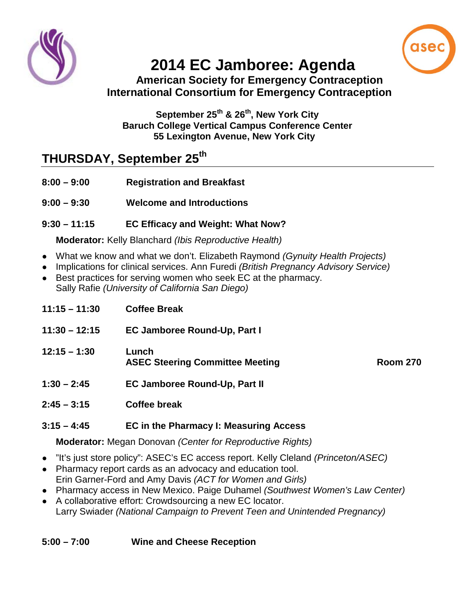

# **2014 EC Jamboree: Agenda**

#### **American Society for Emergency Contraception International Consortium for Emergency Contraception**

#### **September 25th & 26th, New York City Baruch College Vertical Campus Conference Center 55 Lexington Avenue, New York City**

# **THURSDAY, September 25th**

- **8:00 – 9:00 Registration and Breakfast**
- **9:00 – 9:30 Welcome and Introductions**

### **9:30 – 11:15 EC Efficacy and Weight: What Now?**

#### **Moderator:** Kelly Blanchard *(Ibis Reproductive Health)*

- What we know and what we don't. Elizabeth Raymond *(Gynuity Health Projects)*
- Implications for clinical services. Ann Furedi *(British Pregnancy Advisory Service)*
- Best practices for serving women who seek EC at the pharmacy. Sally Rafie *(University of California San Diego)*

- **11:30 – 12:15 EC Jamboree Round-Up, Part I**
- **12:15 – 1:30 Lunch** ASEC Steering Committee Meeting **Room 270**

- **1:30 – 2:45 EC Jamboree Round-Up, Part II**
- **2:45 – 3:15 Coffee break**

#### **3:15 – 4:45 EC in the Pharmacy I: Measuring Access**

**Moderator:** Megan Donovan *(Center for Reproductive Rights)*

- "It's just store policy": ASEC's EC access report. Kelly Cleland *(Princeton/ASEC)*
- Pharmacy report cards as an advocacy and education tool. Erin Garner-Ford and Amy Davis *(ACT for Women and Girls)*
- Pharmacy access in New Mexico. Paige Duhamel *(Southwest Women's Law Center)*
- A collaborative effort: Crowdsourcing a new EC locator. Larry Swiader *(National Campaign to Prevent Teen and Unintended Pregnancy)*

#### **5:00 – 7:00 Wine and Cheese Reception**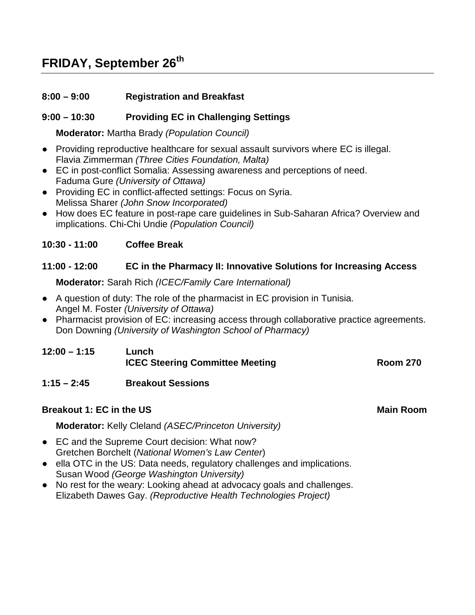# **FRIDAY, September 26th**

#### **8:00 – 9:00 Registration and Breakfast**

#### **9:00 – 10:30 Providing EC in Challenging Settings**

**Moderator:** Martha Brady *(Population Council)*

- Providing reproductive healthcare for sexual assault survivors where EC is illegal. Flavia Zimmerman *(Three Cities Foundation, Malta)*
- EC in post-conflict Somalia: Assessing awareness and perceptions of need. Faduma Gure *(University of Ottawa)*
- Providing EC in conflict-affected settings: Focus on Syria. Melissa Sharer *(John Snow Incorporated)*
- How does EC feature in post-rape care guidelines in Sub-Saharan Africa? Overview and implications. Chi-Chi Undie *(Population Council)*

#### **10:30 - 11:00 Coffee Break**

#### **11:00 - 12:00 EC in the Pharmacy II: Innovative Solutions for Increasing Access**

**Moderator:** Sarah Rich *(ICEC/Family Care International)*

- A question of duty: The role of the pharmacist in EC provision in Tunisia. Angel M. Foster *(University of Ottawa)*
- Pharmacist provision of EC: increasing access through collaborative practice agreements. Don Downing *(University of Washington School of Pharmacy)*

| $12:00 - 1:15$ | Lunch                                  |                 |
|----------------|----------------------------------------|-----------------|
|                | <b>ICEC Steering Committee Meeting</b> | <b>Room 270</b> |

#### **1:15 – 2:45 Breakout Sessions**

#### **Breakout 1: EC in the US Main Room** Main Room

**Moderator:** Kelly Cleland *(ASEC/Princeton University)*

- EC and the Supreme Court decision: What now? Gretchen Borchelt (*National Women's Law Center*)
- ella OTC in the US: Data needs, regulatory challenges and implications. Susan Wood *(George Washington University)*
- No rest for the weary: Looking ahead at advocacy goals and challenges. Elizabeth Dawes Gay. *(Reproductive Health Technologies Project)*